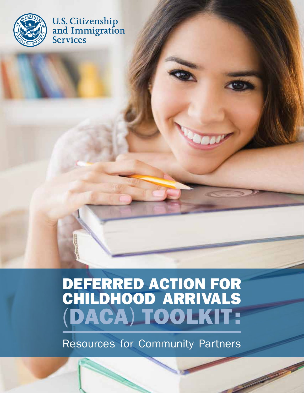

**U.S. Citizenship<br>and Immigration<br>Services** 

# DEFERRED ACTION FOR CHILDHOOD ARRIVALS (DACA) TOOLKIT:

Resources for Community Partners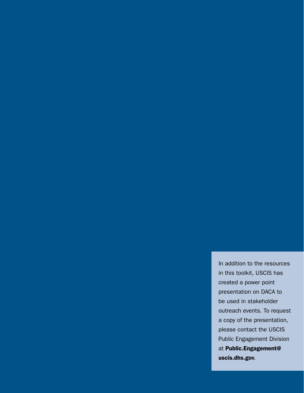In addition to the resources in this toolkit, USCIS has created a power point presentation on DACA to be used in stakeholder outreach events. To request a copy of the presentation, please contact the USCIS Public Engagement Division at [Public.Engagement@](mailto:public.engagement%40uscis.dhs.gov?subject=Request%20for%20Powerpoint%20Presentation%20of%20DACA) [uscis.dhs.gov](mailto:public.engagement%40uscis.dhs.gov?subject=Request%20for%20Powerpoint%20Presentation%20of%20DACA).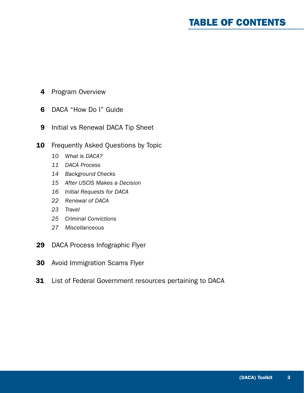# TABLE OF CONTENTS

- 4 [Program Overview](#page-3-0)
- 6 [DACA "How Do I" Guide](#page-5-0)
- 9 [Initial vs Renewal DACA Tip Sheet](#page-8-0)
- **10** [Frequently Asked Questions by Topic](#page-9-0)
	- 10 *[What is DACA?](#page-9-0)*
	- *[11 DACA Process](#page-10-0)*
	- *[14 Background Checks](#page-13-0)*
	- *[15 After USCIS Makes a Decision](#page-13-0)*
	- *[16 Initial Requests for DACA](#page-14-0)*
	- *[22 Renewal of DACA](#page-21-0)*
	- *[23 Travel](#page-22-0)*
	- *[25 Criminal Convictions](#page-24-0)*
	- *2[7 Miscellanceous](#page-26-0)*
- 29 [DACA Process Infographic Flyer](#page-28-0)
- 30 [Avoid Immigration Scams Flyer](#page-29-0)
- **31** [List of Federal Government resources pertaining to DACA](#page-30-0)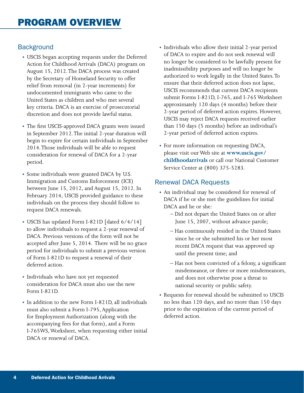# <span id="page-3-0"></span>**Background**

- • USCIS began accepting requests under the Deferred Action for Childhood Arrivals (DACA) program on August 15, 2012. The DACA process was created by the Secretary of Homeland Security to offer relief from removal (in 2-year increments) for undocumented immigrants who came to the United States as children and who met several key criteria. DACA is an exercise of prosecutorial discretion and does not provide lawful status.
- The first USCIS-approved DACA grants were issued in September 2012. The initial 2-year duration will begin to expire for certain individuals in September 2014. Those individuals will be able to request consideration for renewal of DACA for a 2-year period.
- Some individuals were granted DACA by U.S. Immigration and Customs Enforcement (ICE) between June 15, 2012, and August 15, 2012. In February 2014, USCIS provided guidance to these individuals on the process they should follow to request DACA renewals.
- USCIS has updated Form I-821D [dated 6/4/14] to allow individuals to request a 2-year renewal of DACA. Previous versions of the form will not be accepted after June 5, 2014. There will be no grace period for individuals to submit a previous version of Form I-821D to request a renewal of their deferred action.
- Individuals who have not yet requested consideration for DACA must also use the new Form I-821D.
- In addition to the new Form I-821D, all individuals must also submit a Form I-795, Application for Employment Authorization (along with the accompanying fees for that form), and a Form I-765WS, Worksheet, when requesting either initial DACA or renewal of DACA.
- Individuals who allow their initial 2-year period of DACA to expire and do not seek renewal will no longer be considered to be lawfully present for inadmissibility purposes and will no longer be authorized to work legally in the United States. To ensure that their deferred action does not lapse, USCIS recommends that current DACA recipients submit Forms I-821D, I-765, and I-765 Worksheet approximately 120 days (4 months) before their 2-year period of deferred action expires. However, USCIS may reject DACA requests received earlier than 150 days (5 months) before an individual's 2-year period of deferred action expires.
- For more information on requesting DACA, please visit our Web site at **[www.uscis.gov/](http://www.uscis.gov/childhoodarrivals) [childhoodarrivals](http://www.uscis.gov/childhoodarrivals)** or call our National Customer Service Center at (800) 375-5283.

# Renewal DACA Requests

- An individual may be considered for renewal of DACA if he or she met the guidelines for initial DACA and he or she:
	- Did not depart the United States on or after June 15, 2007, without advance parole;
	- Has continuously resided in the United States since he or she submitted his or her most recent DACA request that was approved up until the present time; and
	- Has not been convicted of a felony, a significant misdemeanor, or three or more misdemeanors, and does not otherwise pose a threat to national security or public safety.
- Requests for renewal should be submitted to USCIS no less than 120 days, and no more than 150 days prior to the expiration of the current period of deferred action.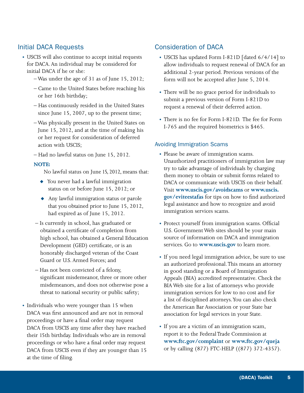# Initial DACA Requests

- • USCIS will also continue to accept initial requests for DACA. An individual may be considered for initial DACA if he or she:
	- Was under the age of 31 as of June 15, 2012;
	- Came to the United States before reaching his or her 16th birthday;
	- Has continuously resided in the United States since June 15, 2007, up to the present time;
	- Was physically present in the United States on June 15, 2012, and at the time of making his or her request for consideration of deferred action with USCIS;
	- Had no lawful status on June 15, 2012.

#### **NOTE:**

No lawful status on June 15, 2012, means that:

- $\blacklozenge$  You never had a lawful immigration status on or before June 15, 2012; or
- $\leftrightarrow$  Any lawful immigration status or parole that you obtained prior to June 15, 2012, had expired as of June 15, 2012.
- Is currently in school, has graduated or obtained a certificate of completion from high school, has obtained a General Education Development (GED) certificate, or is an honorably discharged veteran of the Coast Guard or U.S. Armed Forces; and
- Has not been convicted of a felony, significant misdemeanor, three or more other misdemeanors, and does not otherwise pose a threat to national security or public safety;
- Individuals who were younger than 15 when DACA was first announced and are not in removal proceedings or have a final order may request DACA from USCIS any time after they have reached their 15th birthday. Individuals who are in removal proceedings or who have a final order may request DACA from USCIS even if they are younger than 15 at the time of filing.

# Consideration of DACA

- USCIS has updated Form I-821D [dated 6/4/14] to allow individuals to request renewal of DACA for an additional 2-year period. Previous versions of the form will not be accepted after June 5, 2014.
- There will be no grace period for individuals to submit a previous version of Form I-821D to request a renewal of their deferred action.
- There is no fee for Form I-821D. The fee for Form I-765 and the required biometrics is \$465.

#### Avoiding Immigration Scams

- Please be aware of immigration scams. Unauthorized practitioners of immigration law may try to take advantage of individuals by charging them money to obtain or submit forms related to DACA or communicate with USCIS on their behalf. Visit **<www.uscis.gov/avoidscams>**or **[www.uscis.](www.uscis.gov/eviteestafas) [gov/eviteestafas](www.uscis.gov/eviteestafas)** for tips on how to find authorized legal assistance and how to recognize and avoid immigration services scams.
- Protect yourself from immigration scams. Official U.S. Government Web sites should be your main source of information on DACA and immigration services. Go to **<www.uscis.gov>** to learn more.
- If you need legal immigration advice, be sure to use an authorized professional. This means an attorney in good standing or a Board of Immigration Appeals (BIA) accredited representative. Check the BIA Web site for a list of attorneys who provide immigration services for low to no cost and for a list of disciplined attorneys. You can also check the American Bar Association or your State bar association for legal services in your State.
- If you are a victim of an immigration scam, report it to the Federal Trade Commission at **<www.ftc.gov/complaint>** or **<www.ftc.gov/queja>** or by calling (877) FTC-HELP ((877) 372-4357).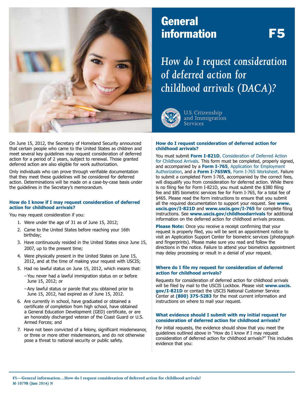<span id="page-5-0"></span>

# **General information**

*How do I request consideration of deferred action for childhood arrivals (DACA)?*



**U.S. Citizenship** and Immigration **Services** 

#### **How do I request consideration of deferred action for childhood arrivals?**

You must submit **Form I-821D**, Consideration of Deferred Action for Childhood Arrivals. This form must be completed, properly signed, and accompanied by a **Form I-765**, Application for Employment Authorization, and a **Form I-765WS**, Form I-765 Worksheet. Failure to submit a completed Form I-765, accompanied by the correct fees, will disqualify you from consideration for deferred action. While there is no filing fee for Form I-821D, you must submit the \$380 filing fee and \$85 biometric services fee for Form I-765, for a total fee of \$465. Please read the form instructions to ensure that you submit all the required documentation to support your request. See **[www.](http://www.uscis.gov/I-821D) [uscis.gov/I-821D](http://www.uscis.gov/I-821D)** and **[www.uscis.gov/I-765](http://www.uscis.gov/I-765)** for complete filing instructions. See **[www.uscis.gov/childhoodarrivals](http://www.uscis.gov/childhoodarrivals)** for additional information on the deferred action for childhood arrivals process.

**Please Note:** Once you receive a receipt confirming that your request is properly filed, you will be sent an appointment notice to visit an Application Support Center for biometric services (photograph and fingerprints). Please make sure you read and follow the directions in the notice. Failure to attend your biometrics appointment may delay processing or result in a denial of your request.

#### **Where do I file my request for consideration of deferred action for childhood arrivals?**

Requests for consideration of deferred action for childhood arrivals will be filed by mail to the USCIS Lockbox. Please visit **[www.uscis.](http://www.uscis.gov/I-821D) [gov/I-821D](http://www.uscis.gov/I-821D)** or contact the USCIS National Customer Service Center at **(800) 375-5283** for the most current information and instructions on where to mail your request.

#### **What evidence should I submit with my initial request for consideration of deferred action for childhood arrivals?**

For initial requests, the evidence should show that you meet the guidelines outlined above in "How do I know if I may request consideration of deferred action for childhood arrivals?" This includes evidence that you:

On June 15, 2012, the Secretary of Homeland Security announced that certain people who came to the United States as children and meet several key guidelines may request consideration of deferred action for a period of 2 years, subject to renewal. Those granted deferred action are also eligible for work authorization.

Only individuals who can prove through verifiable documentation that they meet these guidelines will be considered for deferred action. Determinations will be made on a case-by-case basis under the guidelines in the Secretary's memorandum.

#### **How do I know if I may request consideration of deferred action for childhood arrivals?**

You may request consideration if you:

- 1. Were under the age of 31 as of June 15, 2012;
- 2. Came to the United States before reaching your 16th birthday;
- 3. Have continuously resided in the United States since June 15, 2007, up to the present time;
- 4. Were physically present in the United States on June 15, 2012, and at the time of making your request with USCIS;
- 5. Had no lawful status on June 15, 2012, which means that:
	- –You never had a lawful immigration status on or before June 15, 2012; or

 –Any lawful status or parole that you obtained prior to June 15, 2012, had expired as of June 15, 2012.

- 6. Are currently in school, have graduated or obtained a certificate of completion from high school, have obtained a General Education Development (GED) certificate, or are an honorably discharged veteran of the Coast Guard or U.S. Armed Forces; and
- 7. Have not been convicted of a felony, significant misdemeanor, or three or more other misdemeanors, and do not otherwise pose a threat to national security or public safety.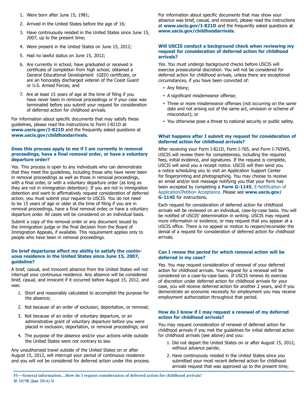- 1. Were born after June 15, 1981;
- 2. Arrived in the United States before the age of 16;
- 3. Have continuously resided in the United States since June 15, 2007, up to the present time;
- 4. Were present in the United States on June 15, 2012;
- 5. Had no lawful status on June 15, 2012;
- 6. Are currently in school, have graduated or received a certificate of completion from high school, obtained a General Educational Development (GED) certificate, or are an honorably discharged veteran of the Coast Guard or U.S. Armed Forces; and
- 7. Are at least 15 years of age at the time of filing if you have never been in removal proceedings or if your case was terminated before you submit your request for consideration of deferred action for childhood arrivals.

For information about specific documents that may satisfy these guidelines, please read the instructions to Form I-821D at **[www.uscis.gov/I-821D](http://www.uscis.gov/I-821D)** and the frequently asked questions at **[www.uscis.gov/childhoodarrivals](http://www.uscis.gov/childhoodarrivals)**.

#### **Does this process apply to me if I am currently in removal proceedings, have a final removal order, or have a voluntary departure order?**

Yes. This process is open to any individuals who can demonstrate that they meet the guidelines, including those who have never been in removal proceedings as well as those in removal proceedings, with a final order, or with a voluntary departure order (as long as they are not in immigration detention). If you are not in immigration detention and want to affirmatively request consideration of deferred action, you must submit your request to USCIS. You do not need to be 15 years of age or older at the time of filing if you are in removal proceedings, have a final removal order, or have a voluntary departure order. All cases will be considered on an individual basis.

Submit a copy of the removal order or any document issued by the immigration judge or the final decision from the Board of Immigration Appeals, if available. This requirement applies only to people who have been in removal proceedings.

#### **Do brief departures affect my ability to satisfy the continuous residence in the United States since June 15, 2007, guideline?**

A brief, casual, and innocent absence from the United States will not interrupt your continuous residence. Any absence will be considered brief, casual, and innocent if it occurred before August 15, 2012, and was:

- 1. Short and reasonably calculated to accomplish the purpose for the absence;
- 2. Not because of an order of exclusion, deportation, or removal;
- 3. Not because of an order of voluntary departure, or an administrative grant of voluntary departure before you were placed in exclusion, deportation, or removal proceedings; and
- 4. The purpose of the absence and/or your actions while outside the United States were not contrary to law.

Any unauthorized travel outside of the United States on or after August 15, 2012, will interrupt your period of continuous residence and you will not be considered for deferred action under this process. For information about specific documents that may show your absence was brief, casual, and innocent, please read the instructions at **[www.uscis.gov/I-821D](http://www.uscis.gov/I-821D)** and the frequently asked questions at **[www.uscis.gov/childhoodarrivals](http://www.uscis.gov/childhoodarrivals)**.

#### **Will USCIS conduct a background check when reviewing my request for consideration of deferred action for childhood arrivals?**

Yes. You must undergo background checks before USCIS will exercise prosecutorial discretion. You will not be considered for deferred action for childhood arrivals, unless there are exceptional circumstances, if you have been convicted of:

- Any felony;
- A significant misdemeanor offense;
- Three or more misdemeanor offenses (not occurring on the same date and not arising out of the same act, omission or scheme of misconduct); or
- You otherwise pose a threat to national security or public safety.

#### **What happens after I submit my request for consideration of deferred action for childhood arrivals?**

After receiving your Form I-821D, Form I-765, and Form I-765WS, USCIS will review them for completeness, including the required fees, initial evidence, and signatures. If the request is complete, USCIS will send you a receipt notice. USCIS will then send you a notice scheduling you to visit an Application Support Center for fingerprinting and photographing. You may choose to receive an email and/or text message notifying you that your form has been accepted by completing a **Form G-1145**, E-Notification of Application/Petition Acceptance. Please see **[www.uscis.gov/](http://www.uscis.gov/G-1145) [G-1145](http://www.uscis.gov/G-1145)** for instructions.

Each request for consideration of deferred action for childhood arrivals will be reviewed on an individual, case-by-case basis. You will be notified of USCIS' determination in writing. USCIS may request more information or evidence, or may request that you appear at a USCIS office. There is no appeal or motion to reopen/reconsider the denial of a request for consideration of deferred action for childhood arrivals.

#### **Can I renew the period for which removal action will be deferred in my case?**

Yes. You may request consideration of renewal of your deferred action for childhood arrivals. Your request for a renewal will be considered on a case-by-case basis. If USCIS renews its exercise of discretion under deferred action for childhood arrivals for your case, you will receive deferred action for another 2 years, and if you demonstrate an economic necessity for employment you may receive employment authorization throughout that period.

#### **How do I know if I may request a renewal of my deferred action for childhood arrivals?**

You may request consideration of renewal of deferred action for childhood arrivals if you met the guidelines for initial deferred action for childhood arrivals (see above) and you:

- 1. Did not depart the United States on or after August 15, 2012, without advance parole;
- 2. Have continuously resided in the United States since you submitted your most recent deferred action for childhood arrivals request that was approved up to the present time;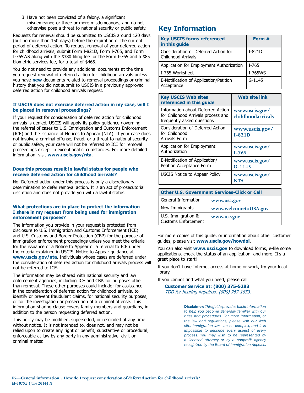3. Have not been convicted of a felony, a significant misdemeanor, or three or more misdemeanors, and do not otherwise pose a threat to national security or public safety.

Requests for renewal should be submitted to USCIS around 120 days (but no more than 150 days) before the expiration of the current period of deferred action. To request renewal of your deferred action for childhood arrivals, submit Form I-821D, Form I-765, and Form I-765WS along with the \$380 filing fee for the Form I-765 and a \$85 biometric services fee, for a total of \$465.

You do not need to provide any additional documents at the time you request renewal of deferred action for childhood arrivals unless you have **new** documents related to removal proceedings or criminal history that you did not submit to USCIS in a previously approved deferred action for childhood arrivals request.

#### **If USCIS does not exercise deferred action in my case, will I be placed in removal proceedings?**

If your request for consideration of deferred action for childhood arrivals is denied, USCIS will apply its policy guidance governing the referral of cases to U.S. Immigration and Customs Enforcement (ICE) and the issuance of Notices to Appear (NTA). If your case does not involve a criminal offense, fraud, or a threat to national security or public safety, your case will not be referred to ICE for removal proceedings except in exceptional circumstances. For more detailed information, visit **[www.uscis.gov/nta](http://www.uscis.gov/nta)**.

#### **Does this process result in lawful status for people who receive deferred action for childhood arrivals?**

No. Deferred action under this process is only a discretionary determination to defer removal action. It is an act of prosecutorial discretion and does not provide you with a lawful status.

#### **What protections are in place to protect the information I share in my request from being used for immigration enforcement purposes?**

The information you provide in your request is protected from disclosure to U.S. Immigration and Customs Enforcement (ICE) and U.S. Customs and Border Protection (CBP) for the purpose of immigration enforcement proceedings unless you meet the criteria for the issuance of a Notice to Appear or a referral to ICE under the criteria explained in USCIS' Notice to Appear guidance at **[www.uscis.gov/nta](http://www.uscis.gov/nta)**. Individuals whose cases are deferred under the consideration of deferred action for childhood arrivals process will not be referred to ICE.

The information may be shared with national security and law enforcement agencies, including ICE and CBP, for purposes other than removal. These other purposes could include: for assistance in the consideration of deferred action for childhood arrivals, to identify or prevent fraudulent claims, for national security purposes, or for the investigation or prosecution of a criminal offense. This information-sharing clause covers family members and guardians, in addition to the person requesting deferred action.

This policy may be modified, superseded, or rescinded at any time without notice. It is not intended to, does not, and may not be relied upon to create any right or benefit, substantive or procedural, enforceable at law by any party in any administrative, civil, or criminal matter.

# **Key Information**

| <b>Key USCIS forms referenced</b><br>in this guide                | Form #    |
|-------------------------------------------------------------------|-----------|
| Consideration of Deferred Action for<br><b>Childhood Arrivals</b> | $I-821D$  |
| Application for Employment Authorization                          | $I - 765$ |
| I-765 Worksheet                                                   | I-765WS   |
| E-Notification of Application/Petition<br>Acceptance              | $G-1145$  |

| <b>Key USCIS Web sites</b><br>referenced in this guide                                                | <b>Web site link</b>                |
|-------------------------------------------------------------------------------------------------------|-------------------------------------|
| Information about Deferred Action<br>for Childhood Arrivals process and<br>frequently asked questions | www.uscis.gov/<br>childhoodarrivals |
| Consideration of Deferred Action<br>for Childhood<br>Arrivals Form                                    | www.uscis.gov/<br>$I-821D$          |
| Application for Employment<br>Authorization                                                           | www.uscis.gov/<br>$I - 765$         |
| E-Notification of Application/<br>Petition Acceptance Form                                            | www.uscis.gov/<br>$G-1145$          |
| <b>USCIS Notice to Appear Policy</b>                                                                  | www.uscis.gov/<br>NTA               |

| <b>Other U.S. Government Services-Click or Call</b> |                      |  |
|-----------------------------------------------------|----------------------|--|
| General Information                                 | www.usa.gov          |  |
| New Immigrants                                      | www.welcometoUSA.gov |  |
| U.S. Immigration &<br>Customs Enforcement           | www.ice.gov          |  |

For more copies of this guide, or information about other customer guides, please visit **[www.uscis.gov/howdoi](http://www.uscis.gov/howdoi)**.

You can also visit **[www.uscis.gov](http://www.uscis.gov)** to download forms, e-file some applications, check the status of an application, and more. It's a great place to start!

If you don't have Internet access at home or work, try your local library.

If you cannot find what you need, please call

**Customer Service at: (800) 375-5283**

TDD for hearing-impaired: (800) 767-1833.

Disclaimer: *This guide provides basic information to help you become generally familiar with our rules and procedures. For more information, or the law and regulations, please visit our Web site. Immigration law can be complex, and it is impossible to describe every aspect of every process. You may wish to be represented by a licensed attorney or by a nonprofit agency recognized by the Board of Immigration Appeals.*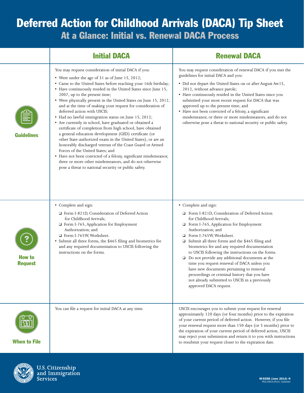# <span id="page-8-0"></span>Deferred Action for Childhood Arrivals (DACA) Tip Sheet

At a Glance: Initial vs. Renewal DACA Process

|                                 | <b>Initial DACA</b>                                                                                                                                                                                                                                                                                                                                                                                                                                                                                                                                                                                                                                                                                                                                                                                                                                                                                                                                                                                                                             | <b>Renewal DACA</b>                                                                                                                                                                                                                                                                                                                                                                                                                                                                                                                                                                                                                |
|---------------------------------|-------------------------------------------------------------------------------------------------------------------------------------------------------------------------------------------------------------------------------------------------------------------------------------------------------------------------------------------------------------------------------------------------------------------------------------------------------------------------------------------------------------------------------------------------------------------------------------------------------------------------------------------------------------------------------------------------------------------------------------------------------------------------------------------------------------------------------------------------------------------------------------------------------------------------------------------------------------------------------------------------------------------------------------------------|------------------------------------------------------------------------------------------------------------------------------------------------------------------------------------------------------------------------------------------------------------------------------------------------------------------------------------------------------------------------------------------------------------------------------------------------------------------------------------------------------------------------------------------------------------------------------------------------------------------------------------|
| <b>Guidelines</b>               | You may request consideration of initial DACA if you:<br>• Were under the age of 31 as of June 15, 2012;<br>• Came to the United States before reaching your 16th birthday;<br>• Have continuously resided in the United States since June 15,<br>2007, up to the present time;<br>• Were physically present in the United States on June 15, 2012,<br>and at the time of making your request for consideration of<br>deferred action with USCIS;<br>· Had no lawful immigration status on June 15, 2012;<br>• Are currently in school, have graduated or obtained a<br>certificate of completion from high school, have obtained<br>a general education development (GED) certificate (or<br>other State-authorized exam in the United States), or are an<br>honorably discharged veteran of the Coast Guard or Armed<br>Forces of the United States; and<br>• Have not been convicted of a felony, significant misdemeanor,<br>three or more other misdemeanors, and do not otherwise<br>pose a threat to national security or public safety. | You may request consideration of renewal DACA if you met the<br>guidelines for initial DACA and you:<br>• Did not depart the United States on or after August Aw15,<br>2012, without advance parole;<br>• Have continuously resided in the United States since you<br>submitted your most recent request for DACA that was<br>approved up to the present time; and<br>• Have not been convicted of a felony, a significant<br>misdemeanor, or three or more misdemeanors, and do not<br>otherwise pose a threat to national security or public safety.                                                                             |
| <b>How to</b><br><b>Request</b> | • Complete and sign:<br>Form I-821D, Consideration of Deferred Action<br>for Childhood Arrivals;<br>Form I-765, Application for Employment<br>Authorization; and<br>Form I-765W, Worksheet.<br>• Submit all three forms, the \$465 filing and biometrics fee<br>and any required documentation to USCIS following the<br>instructions on the forms.                                                                                                                                                                                                                                                                                                                                                                                                                                                                                                                                                                                                                                                                                             | • Complete and sign:<br>Form I-821D, Consideration of Deferred Action<br>for Childhood Arrivals;<br>Form I-765, Application for Employment<br>Authorization; and<br>Form I-765W, Worksheet.<br>□ Submit all three forms and the \$465 filing and<br>biometrics fee and any required documentation<br>to USCIS following the instructions on the forms.<br>□ Do not provide any additional documents at the<br>time you request renewal of DACA unless you<br>have new documents pertaining to removal<br>proceedings or criminal history that you have<br>not already submitted to USCIS in a previously<br>approved DACA request. |
| <b>When to File</b>             | You can file a request for initial DACA at any time.                                                                                                                                                                                                                                                                                                                                                                                                                                                                                                                                                                                                                                                                                                                                                                                                                                                                                                                                                                                            | USCIS encourages you to submit your request for renewal<br>approximately 120 days (or four months) prior to the expiration<br>of your current period of deferred action. However, if you file<br>your renewal request more than 150 days (or 5 months) prior to<br>the expiration of your current period of deferred action, USCIS<br>may reject your submission and return it to you with instructions<br>to resubmit your request closer to the expiration date.                                                                                                                                                                 |

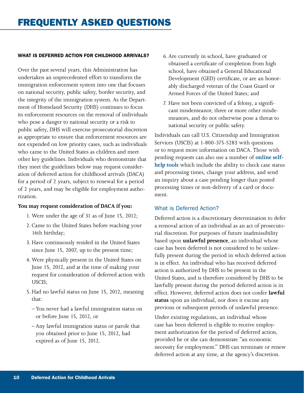#### <span id="page-9-0"></span>WHAT IS DEFERRED ACTION FOR CHILDHOOD ARRIVALS?

Over the past several years, this Administration has undertaken an unprecedented effort to transform the immigration enforcement system into one that focuses on national security, public safety, border security, and the integrity of the immigration system. As the Department of Homeland Security (DHS) continues to focus its enforcement resources on the removal of individuals who pose a danger to national security or a risk to public safety, DHS will exercise prosecutorial discretion as appropriate to ensure that enforcement resources are not expended on low priority cases, such as individuals who came to the United States as children and meet other key guidelines. Individuals who demonstrate that they meet the guidelines below may request consideration of deferred action for childhood arrivals (DACA) for a period of 2 years, subject to renewal for a period of 2 years, and may be eligible for employment authorization.

#### **You may request consideration of DACA if you:**

- 1. Were under the age of 31 as of June 15, 2012;
- 2. Came to the United States before reaching your 16th birthday;
- 3. Have continuously resided in the United States since June 15, 2007, up to the present time;
- 4. Were physically present in the United States on June 15, 2012, and at the time of making your request for consideration of deferred action with USCIS;
- 5. Had no lawful status on June 15, 2012, meaning that:
	- You never had a lawful immigration status on or before June 15, 2012, or
	- Any lawful immigration status or parole that you obtained prior to June 15, 2012, had expired as of June 15, 2012.
- 6. Are currently in school, have graduated or obtained a certificate of completion from high school, have obtained a General Educational Development (GED) certificate, or are an honorably discharged veteran of the Coast Guard or Armed Forces of the United States; and
- 7. Have not been convicted of a felony, a significant misdemeanor, three or more other misdemeanors, and do not otherwise pose a threat to national security or public safety.

Individuals can call U.S. Citizenship and Immigration Services (USCIS) at 1-800-375-5283 with questions or to request more information on DACA. Those with pending requests can also use a number of **[online self](http://www.uscis.gov/tools)[help tools](http://www.uscis.gov/tools)** which include the ability to check case status and processing times, change your address, and send an inquiry about a case pending longer than posted processing times or non-delivery of a card or document.

#### What is Deferred Action?

Deferred action is a discretionary determination to defer a removal action of an individual as an act of prosecutorial discretion. For purposes of future inadmissibility based upon **unlawful presence**, an individual whose case has been deferred is not considered to be unlawfully present during the period in which deferred action is in effect. An individual who has received deferred action is authorized by DHS to be present in the United States, and is therefore considered by DHS to be lawfully present during the period deferred action is in effect. However, deferred action does not confer **lawful status** upon an individual, nor does it excuse any previous or subsequent periods of unlawful presence.

Under existing regulations, an individual whose case has been deferred is eligible to receive employment authorization for the period of deferred action, provided he or she can demonstrate "an economic necessity for employment." DHS can terminate or renew deferred action at any time, at the agency's discretion.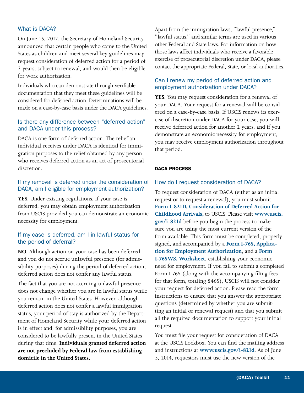#### <span id="page-10-0"></span>What is DACA?

On June 15, 2012, the Secretary of Homeland Security announced that certain people who came to the United States as children and meet several key guidelines may request consideration of deferred action for a period of 2 years, subject to renewal, and would then be eligible for work authorization.

Individuals who can demonstrate through verifiable documentation that they meet these guidelines will be considered for deferred action. Determinations will be made on a case-by-case basis under the DACA guidelines.

#### Is there any difference between "deferred action" and DACA under this process?

DACA is one form of deferred action. The relief an individual receives under DACA is identical for immigration purposes to the relief obtained by any person who receives deferred action as an act of prosecutorial discretion.

#### If my removal is deferred under the consideration of DACA, am I eligible for employment authorization?

**YES**. Under existing regulations, if your case is deferred, you may obtain employment authorization from USCIS provided you can demonstrate an economic necessity for employment.

#### If my case is deferred, am I in lawful status for the period of deferral?

**NO**. Although action on your case has been deferred and you do not accrue unlawful presence (for admissibility purposes) during the period of deferred action, deferred action does not confer any lawful status.

The fact that you are not accruing unlawful presence does not change whether you are in lawful status while you remain in the United States. However, although deferred action does not confer a lawful immigration status, your period of stay is authorized by the Department of Homeland Security while your deferred action is in effect and, for admissibility purposes, you are considered to be lawfully present in the United States during that time. **Individuals granted deferred action are not precluded by Federal law from establishing domicile in the United States.**

Apart from the immigration laws, "lawful presence," "lawful status," and similar terms are used in various other Federal and State laws. For information on how those laws affect individuals who receive a favorable exercise of prosecutorial discretion under DACA, please contact the appropriate Federal, State, or local authorities.

#### Can I renew my period of deferred action and employment authorization under DACA?

**YES**. You may request consideration for a renewal of your DACA. Your request for a renewal will be considered on a case-by-case basis. If USCIS renews its exercise of discretion under DACA for your case, you will receive deferred action for another 2 years, and if you demonstrate an economic necessity for employment, you may receive employment authorization throughout that period.

#### DACA PROCESS

#### How do I request consideration of DACA?

To request consideration of DACA (either as an initial request or to request a renewal), you must submit **[Form I-821D, Consideration of Deferred Action for](http://www.uscis.gov/sites/default/files/files/form/i-821d.pdf)  [Childhood Arrivals](http://www.uscis.gov/sites/default/files/files/form/i-821d.pdf),** to USCIS. Please visit **[www.uscis.](www.uscis.gov/i-821d) [gov/i-821d](www.uscis.gov/i-821d)** before you begin the process to make sure you are using the most current version of the form available. This form must be completed, properly signed, and accompanied by a **[Form I-765, Applica](http://www.uscis.gov/sites/default/files/files/form/i-765.pdf)[tion for Employment Authorization](http://www.uscis.gov/sites/default/files/files/form/i-765.pdf)**, and a **Form [I-765WS, Worksheet](http://www.uscis.gov/sites/default/files/files/form/i-765.pdf)**, establishing your economic need for employment. If you fail to submit a completed Form I-765 (along with the accompanying filing fees for that form, totaling \$465), USCIS will not consider your request for deferred action. Please read the form instructions to ensure that you answer the appropriate questions (determined by whether you are submitting an initial or renewal request) and that you submit all the required documentation to support your initial request.

You must file your request for consideration of DACA at the USCIS Lockbox. You can find the mailing address and instructions at **<www.uscis.gov/i-821d>**. As of June 5, 2014, requestors must use the new version of the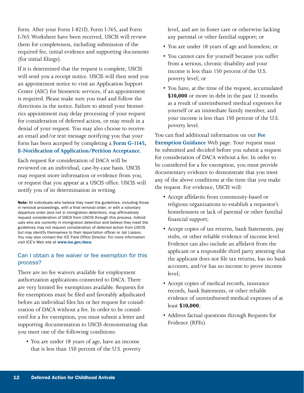form. After your Form I-821D, Form I-765, and Form I-765 Worksheet have been received, USCIS will review them for completeness, including submission of the required fee, initial evidence and supporting documents (for initial filings).

If it is determined that the request is complete, USCIS will send you a receipt notice. USCIS will then send you an appointment notice to visit an Application Support Center (ASC) for biometric services, if an appointment is required. Please make sure you read and follow the directions in the notice. Failure to attend your biometrics appointment may delay processing of your request for consideration of deferred action, or may result in a denial of your request. You may also choose to receive an email and/or text message notifying you that your form has been accepted by completing a **[Form G-1145,](http://www.uscis.gov/sites/default/files/files/form/g-1145.pdf)  [E-Notification of Application/Petition Acceptance](http://www.uscis.gov/sites/default/files/files/form/g-1145.pdf)**.

Each request for consideration of DACA will be reviewed on an individual, case-by-case basis. USCIS may request more information or evidence from you, or request that you appear at a USCIS office. USCIS will notify you of its determination in writing.

Note: All individuals who believe they meet the guidelines, including those in removal proceedings, with a final removal order, or with a voluntary departure order (and not in immigration detention), may affirmatively request consideration of DACA from USCIS through this process. Individuals who are currently in immigration detention and believe they meet the guidelines may not request consideration of deferred action from USCIS but may identify themselves to their deportation officer or Jail Liaison. You may also contact the ICE Field Office Director. For more information visit ICE's Web site at <www.ice.gov/daca>.

# Can I obtain a fee waiver or fee exemption for this process?

There are no fee waivers available for employment authorization applications connected to DACA. There are very limited fee exemptions available. Requests for fee exemptions must be filed and favorably adjudicated before an individual files his or her request for consideration of DACA without a fee. In order to be considered for a fee exemption, you must submit a letter and supporting documentation to USCIS demonstrating that you meet one of the following conditions:

• You are under 18 years of age, have an income that is less than 150 percent of the U.S. poverty level, and are in foster care or otherwise lacking any parental or other familial support; or

- You are under 18 years of age and homeless; or
- You cannot care for yourself because you suffer from a serious, chronic disability and your income is less than 150 percent of the U.S. poverty level; or
- You have, at the time of the request, accumulated **\$10,000** or more in debt in the past 12 months as a result of unreimbursed medical expenses for yourself or an immediate family member, and your income is less than 150 percent of the U.S. poverty level.

You can find additional information on our **[Fee](http://www.uscis.gov/sites/default/files/files/form/i-912instr.pdf)  [Exemption Guidance](http://www.uscis.gov/sites/default/files/files/form/i-912instr.pdf)** Web page. Your request must be submitted and decided before you submit a request for consideration of DACA without a fee. In order to be considered for a fee exemption, you must provide documentary evidence to demonstrate that you meet any of the above conditions at the time that you make the request. For evidence, USCIS will:

- Accept affidavits from community-based or religious organizations to establish a requestor's homelessness or lack of parental or other familial financial support;
- Accept copies of tax returns, bank Statements, pay stubs, or other reliable evidence of income level. Evidence can also include an affidavit from the applicant or a responsible third party attesting that the applicant does not file tax returns, has no bank accounts, and/or has no income to prove income level;
- Accept copies of medical records, insurance records, bank Statements, or other reliable evidence of unreimbursed medical expenses of at least **\$10,000**;
- Address factual questions through Requests for Evidence (RFEs).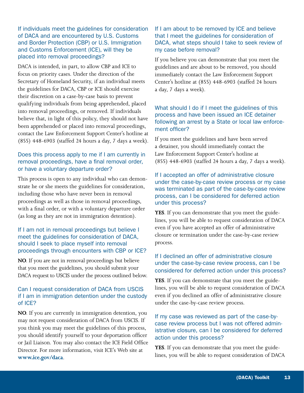# If individuals meet the guidelines for consideration of DACA and are encountered by U.S. Customs and Border Protection (CBP) or U.S. Immigration and Customs Enforcement (ICE), will they be placed into removal proceedings?

DACA is intended, in part, to allow CBP and ICE to focus on priority cases. Under the direction of the Secretary of Homeland Security, if an individual meets the guidelines for DACA, CBP or ICE should exercise their discretion on a case-by-case basis to prevent qualifying individuals from being apprehended, placed into removal proceedings, or removed. If individuals believe that, in light of this policy, they should not have been apprehended or placed into removal proceedings, contact the Law Enforcement Support Center's hotline at (855) 448-6903 (staffed 24 hours a day, 7 days a week).

# Does this process apply to me if I am currently in removal proceedings, have a final removal order, or have a voluntary departure order?

This process is open to any individual who can demonstrate he or she meets the guidelines for consideration, including those who have never been in removal proceedings as well as those in removal proceedings, with a final order, or with a voluntary departure order (as long as they are not in immigration detention).

# If I am not in removal proceedings but believe I meet the guidelines for consideration of DACA, should I seek to place myself into removal proceedings through encounters with CBP or ICE?

**NO**. If you are not in removal proceedings but believe that you meet the guidelines, you should submit your DACA request to USCIS under the process outlined below.

# Can I request consideration of DACA from USCIS if I am in immigration detention under the custody of ICE?

**NO**. If you are currently in immigration detention, you may not request consideration of DACA from USCIS. If you think you may meet the guidelines of this process, you should identify yourself to your deportation officer or Jail Liaison. You may also contact the ICE Field Office Director. For more information, visit ICE's Web site at **<www.ice.gov/daca>**.

#### If I am about to be removed by ICE and believe that I meet the guidelines for consideration of DACA, what steps should I take to seek review of my case before removal?

If you believe you can demonstrate that you meet the guidelines and are about to be removed, you should immediately contact the Law Enforcement Support Center's hotline at (855) 448-6903 (staffed 24 hours a day, 7 days a week).

# What should I do if I meet the guidelines of this process and have been issued an ICE detainer following an arrest by a State or local law enforcement officer?

If you meet the guidelines and have been served a detainer, you should immediately contact the Law Enforcement Support Center's hotline at (855) 448-6903 (staffed 24 hours a day, 7 days a week).

### If I accepted an offer of administrative closure under the case-by-case review process or my case was terminated as part of the case-by-case review process, can I be considered for deferred action under this process?

**YES**. If you can demonstrate that you meet the guidelines, you will be able to request consideration of DACA even if you have accepted an offer of administrative closure or termination under the case-by-case review process.

# If I declined an offer of administrative closure under the case-by-case review process, can I be considered for deferred action under this process?

**YES**. If you can demonstrate that you meet the guidelines, you will be able to request consideration of DACA even if you declined an offer of administrative closure under the case-by-case review process.

# If my case was reviewed as part of the case-bycase review process but I was not offered administrative closure, can I be considered for deferred action under this process?

**YES**. If you can demonstrate that you meet the guidelines, you will be able to request consideration of DACA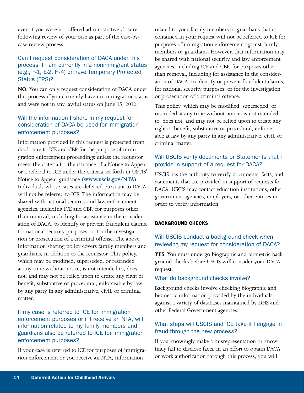<span id="page-13-0"></span>even if you were not offered administrative closure following review of your case as part of the case-bycase review process.

# Can I request consideration of DACA under this process if I am currently in a nonimmigrant status (e.g., F-1, E-2, H-4) or have Temporary Protected Status (TPS)?

**NO**. You can only request consideration of DACA under this process if you currently have no immigration status and were not in any lawful status on June 15, 2012.

# Will the information I share in my request for consideration of DACA be used for immigration enforcement purposes?

Information provided in this request is protected from disclosure to ICE and CBP for the purpose of immigration enforcement proceedings unless the requestor meets the criteria for the issuance of a Notice to Appear or a referral to ICE under the criteria set forth in USCIS' Notice to Appear guidance **[\(www.uscis.gov/NTA](www.uscis.gov/NTA)**). Individuals whose cases are deferred pursuant to DACA will not be referred to ICE. The information may be shared with national security and law enforcement agencies, including ICE and CBP, for purposes other than removal, including for assistance in the consideration of DACA, to identify or prevent fraudulent claims, for national security purposes, or for the investigation or prosecution of a criminal offense. The above information sharing policy covers family members and guardians, in addition to the requestor. This policy, which may be modified, superseded, or rescinded at any time without notice, is not intended to, does not, and may not be relied upon to create any right or benefit, substantive or procedural, enforceable by law by any party in any administrative, civil, or criminal matter.

# If my case is referred to ICE for immigration enforcement purposes or if I receive an NTA, will information related to my family members and guardians also be referred to ICE for immigration enforcement purposes?

If your case is referred to ICE for purposes of immigration enforcement or you receive an NTA, information

related to your family members or guardians that is contained in your request will not be referred to ICE for purposes of immigration enforcement against family members or guardians. However, that information may be shared with national security and law enforcement agencies, including ICE and CBP, for purposes other than removal, including for assistance in the consideration of DACA, to identify or prevent fraudulent claims, for national security purposes, or for the investigation or prosecution of a criminal offense.

This policy, which may be modified, superseded, or rescinded at any time without notice, is not intended to, does not, and may not be relied upon to create any right or benefit, substantive or procedural, enforceable at law by any party in any administrative, civil, or criminal matter.

# Will USCIS verify documents or Statements that I provide in support of a request for DACA?

USCIS has the authority to verify documents, facts, and Statements that are provided in support of requests for DACA. USCIS may contact education institutions, other government agencies, employers, or other entities in order to verify information.

#### BACKGROUND CHECKS

# Will USCIS conduct a background check when reviewing my request for consideration of DACA?

**YES**. You must undergo biographic and biometric background checks before USCIS will consider your DACA request.

#### What do background checks involve?

Background checks involve checking biographic and biometric information provided by the individuals against a variety of databases maintained by DHS and other Federal Government agencies.

# What steps will USCIS and ICE take if I engage in fraud through the new process?

If you knowingly make a misrepresentation or knowingly fail to disclose facts, in an effort to obtain DACA or work authorization through this process, you will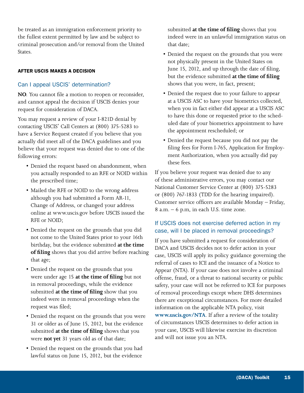<span id="page-14-0"></span>be treated as an immigration enforcement priority to the fullest extent permitted by law and be subject to criminal prosecution and/or removal from the United States.

#### AFTER USCIS MAKES A DECISION

#### Can I appeal USCIS' determination?

**NO**. You cannot file a motion to reopen or reconsider, and cannot appeal the decision if USCIS denies your request for consideration of DACA.

You may request a review of your I-821D denial by contacting USCIS' Call Centers at (800) 375-5283 to have a Service Request created if you believe that you actually did meet all of the DACA guidelines and you believe that your request was denied due to one of the following errors:

- Denied the request based on abandonment, when you actually responded to an RFE or NOID within the prescribed time;
- Mailed the RFE or NOID to the wrong address although you had submitted a Form AR-11, Change of Address, or changed your address online at www.uscis.gov before USCIS issued the RFE or NOID;
- Denied the request on the grounds that you did not come to the United States prior to your 16th birthday, but the evidence submitted **at the time of filing** shows that you did arrive before reaching that age;
- Denied the request on the grounds that you were under age 15 **at the time of filing** but not in removal proceedings, while the evidence submitted **at the time of filing** show that you indeed were in removal proceedings when the request was filed;
- Denied the request on the grounds that you were 31 or older as of June 15, 2012, but the evidence submitted **at the time of filing** shows that you were **not yet** 31 years old as of that date;
- Denied the request on the grounds that you had lawful status on June 15, 2012, but the evidence

submitted **at the time of filing** shows that you indeed were in an unlawful immigration status on that date;

- Denied the request on the grounds that you were not physically present in the United States on June 15, 2012, and up through the date of filing, but the evidence submitted **at the time of filing** shows that you were, in fact, present;
- Denied the request due to your failure to appear at a USCIS ASC to have your biometrics collected, when you in fact either did appear at a USCIS ASC to have this done or requested prior to the scheduled date of your biometrics appointment to have the appointment rescheduled; or
- Denied the request because you did not pay the filing fees for Form I-765, Application for Employment Authorization, when you actually did pay these fees.

If you believe your request was denied due to any of these administrative errors, you may contact our National Customer Service Center at (800) 375-5283 or (800) 767-1833 (TDD for the hearing impaired). Customer service officers are available Monday – Friday, 8 a.m. – 6 p.m, in each U.S. time zone.

# If USCIS does not exercise deferred action in my case, will I be placed in removal proceedings?

If you have submitted a request for consideration of DACA and USCIS decides not to defer action in your case, USCIS will apply its policy guidance governing the referral of cases to ICE and the issuance of a Notice to Appear (NTA). If your case does not involve a criminal offense, fraud, or a threat to national security or public safety, your case will not be referred to ICE for purposes of removal proceedings except where DHS determines there are exceptional circumstances. For more detailed information on the applicable NTA policy, visit **<www.uscis.gov/NTA>**. If after a review of the totality of circumstances USCIS determines to defer action in your case, USCIS will likewise exercise its discretion and will not issue you an NTA.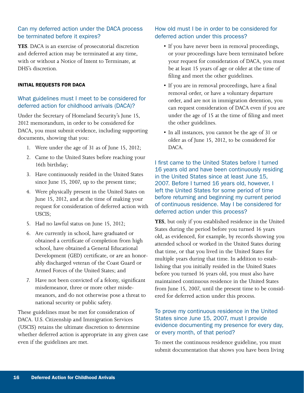# Can my deferred action under the DACA process be terminated before it expires?

**YES**. DACA is an exercise of prosecutorial discretion and deferred action may be terminated at any time, with or without a Notice of Intent to Terminate, at DHS's discretion.

#### INITIAL REQUESTS FOR DACA

# What guidelines must I meet to be considered for deferred action for childhood arrivals (DACA)?

Under the Secretary of Homeland Security's June 15, 2012 memorandum, in order to be considered for DACA, you must submit evidence, including supporting documents, showing that you:

- 1. Were under the age of 31 as of June 15, 2012;
- 2. Came to the United States before reaching your 16th birthday;
- 3. Have continuously resided in the United States since June 15, 2007, up to the present time;
- 4. Were physically present in the United States on June 15, 2012, and at the time of making your request for consideration of deferred action with USCIS;
- 5. Had no lawful status on June 15, 2012;
- 6. Are currently in school, have graduated or obtained a certificate of completion from high school, have obtained a General Educational Development (GED) certificate, or are an honorably discharged veteran of the Coast Guard or Armed Forces of the United States; and
- 7. Have not been convicted of a felony, significant misdemeanor, three or more other misdemeanors, and do not otherwise pose a threat to national security or public safety.

These guidelines must be met for consideration of DACA. U.S. Citizenship and Immigration Services (USCIS) retains the ultimate discretion to determine whether deferred action is appropriate in any given case even if the guidelines are met.

# How old must I be in order to be considered for deferred action under this process?

- If you have never been in removal proceedings, or your proceedings have been terminated before your request for consideration of DACA, you must be at least 15 years of age or older at the time of filing and meet the other guidelines.
- If you are in removal proceedings, have a final removal order, or have a voluntary departure order, and are not in immigration detention, you can request consideration of DACA even if you are under the age of 15 at the time of filing and meet the other guidelines.
- In all instances, you cannot be the age of 31 or older as of June 15, 2012, to be considered for DACA.

I first came to the United States before I turned 16 years old and have been continuously residing in the United States since at least June 15, 2007. Before I turned 16 years old, however, I left the United States for some period of time before returning and beginning my current period of continuous residence. May I be considered for deferred action under this process?

**YES**, but only if you established residence in the United States during the period before you turned 16 years old, as evidenced, for example, by records showing you attended school or worked in the United States during that time, or that you lived in the United States for multiple years during that time. In addition to establishing that you initially resided in the United States before you turned 16 years old, you must also have maintained continuous residence in the United States from June 15, 2007, until the present time to be considered for deferred action under this process.

# To prove my continuous residence in the United States since June 15, 2007, must I provide evidence documenting my presence for every day, or every month, of that period?

To meet the continuous residence guideline, you must submit documentation that shows you have been living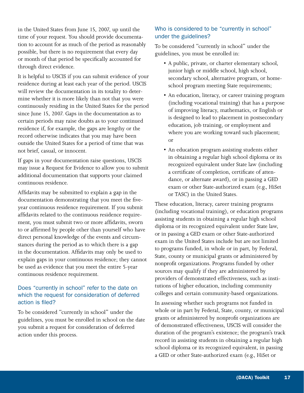in the United States from June 15, 2007, up until the time of your request. You should provide documentation to account for as much of the period as reasonably possible, but there is no requirement that every day or month of that period be specifically accounted for through direct evidence.

It is helpful to USCIS if you can submit evidence of your residence during at least each year of the period. USCIS will review the documentation in its totality to determine whether it is more likely than not that you were continuously residing in the United States for the period since June 15, 2007. Gaps in the documentation as to certain periods may raise doubts as to your continued residence if, for example, the gaps are lengthy or the record otherwise indicates that you may have been outside the United States for a period of time that was not brief, casual, or innocent.

If gaps in your documentation raise questions, USCIS may issue a Request for Evidence to allow you to submit additional documentation that supports your claimed continuous residence.

Affidavits may be submitted to explain a gap in the documentation demonstrating that you meet the fiveyear continuous residence requirement. If you submit affidavits related to the continuous residence requirement, you must submit two or more affidavits, sworn to or affirmed by people other than yourself who have direct personal knowledge of the events and circumstances during the period as to which there is a gap in the documentation. Affidavits may only be used to explain gaps in your continuous residence; they cannot be used as evidence that you meet the entire 5-year continuous residence requirement.

# Does "currently in school" refer to the date on which the request for consideration of deferred action is filed?

To be considered "currently in school" under the guidelines, you must be enrolled in school on the date you submit a request for consideration of deferred action under this process.

# Who is considered to be "currently in school" under the guidelines?

To be considered "currently in school" under the guidelines, you must be enrolled in:

- A public, private, or charter elementary school, junior high or middle school, high school, secondary school, alternative program, or homeschool program meeting State requirements;
- An education, literacy, or career training program (including vocational training) that has a purpose of improving literacy, mathematics, or English or is designed to lead to placement in postsecondary education, job training, or employment and where you are working toward such placement; or
- An education program assisting students either in obtaining a regular high school diploma or its recognized equivalent under State law (including a certificate of completion, certificate of attendance, or alternate award), or in passing a GED exam or other State-authorized exam (e.g., HiSet or TASC) in the United States.

These education, literacy, career training programs (including vocational training), or education programs assisting students in obtaining a regular high school diploma or its recognized equivalent under State law, or in passing a GED exam or other State-authorized exam in the United States include but are not limited to programs funded, in whole or in part, by Federal, State, county or municipal grants or administered by nonprofit organizations. Programs funded by other sources may qualify if they are administered by providers of demonstrated effectiveness, such as institutions of higher education, including community colleges and certain community-based organizations.

In assessing whether such programs not funded in whole or in part by Federal, State, county, or municipal grants or administered by nonprofit organizations are of demonstrated effectiveness, USCIS will consider the duration of the program's existence; the program's track record in assisting students in obtaining a regular high school diploma or its recognized equivalent, in passing a GED or other State-authorized exam (e.g., HiSet or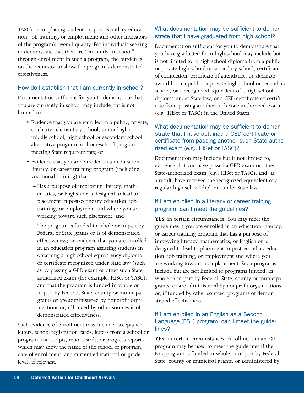TASC), or in placing students in postsecondary education, job training, or employment; and other indicators of the program's overall quality. For individuals seeking to demonstrate that they are "currently in school" through enrollment in such a program, the burden is on the requestor to show the program's demonstrated effectiveness.

# How do I establish that I am currently in school?

Documentation sufficient for you to demonstrate that you are currently in school may include but is not limited to:

- Evidence that you are enrolled in a public, private, or charter elementary school, junior high or middle school, high school or secondary school; alternative program, or homeschool program meeting State requirements; or
- Evidence that you are enrolled in an education, literacy, or career training program (including vocational training) that:
	- Has a purpose of improving literacy, mathematics, or English or is designed to lead to placement in postsecondary education, job training, or employment and where you are working toward such placement; and
	- The program is funded in whole or in part by Federal or State grants or is of demonstrated effectiveness; or evidence that you are enrolled in an education program assisting students in obtaining a high school equivalency diploma or certificate recognized under State law (such as by passing a GED exam or other such Stateauthorized exam (for example, HiSet or TASC), and that the program is funded in whole or in part by Federal, State, county or municipal grants or are administered by nonprofit organizations or, if funded by other sources is of demonstrated effectiveness.

Such evidence of enrollment may include: acceptance letters, school registration cards, letters from a school or program, transcripts, report cards, or progress reports which may show the name of the school or program, date of enrollment, and current educational or grade level, if relevant.

# What documentation may be sufficient to demonstrate that I have graduated from high school?

Documentation sufficient for you to demonstrate that you have graduated from high school may include but is not limited to: a high school diploma from a public or private high school or secondary school, certificate of completion, certificate of attendance, or alternate award from a public or private high school or secondary school, or a recognized equivalent of a high school diploma under State law, or a GED certificate or certificate from passing another such State-authorized exam (e.g., HiSet or TASC) in the United States.

# What documentation may be sufficient to demonstrate that I have obtained a GED certificate or certificate from passing another such State-authorized exam (e.g., HiSet or TASC)?

Documentation may include but is not limited to, evidence that you have passed a GED exam or other State-authorized exam (e.g., HiSet or TASC), and, as a result, have received the recognized equivalent of a regular high school diploma under State law.

# If I am enrolled in a literacy or career training program, can I meet the guidelines?

**YES**, in certain circumstances. You may meet the guidelines if you are enrolled in an education, literacy, or career training program that has a purpose of improving literacy, mathematics, or English or is designed to lead to placement in postsecondary education, job training, or employment and where you are working toward such placement. Such programs include but are not limited to programs funded, in whole or in part by Federal, State, county or municipal grants, or are administered by nonprofit organizations, or, if funded by other sources, programs of demonstrated effectiveness.

# If I am enrolled in an English as a Second Language (ESL) program, can I meet the guidelines?

**YES**, in certain circumstances. Enrollment in an ESL program may be used to meet the guidelines if the ESL program is funded in whole or in part by Federal, State, county or municipal grants, or administered by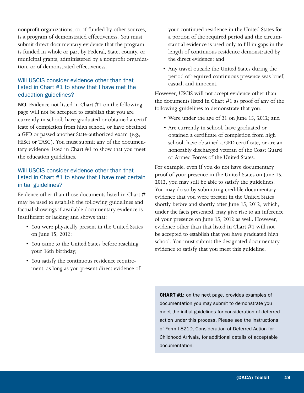nonprofit organizations, or, if funded by other sources, is a program of demonstrated effectiveness. You must submit direct documentary evidence that the program is funded in whole or part by Federal, State, county, or municipal grants, administered by a nonprofit organization, or of demonstrated effectiveness.

# Will USCIS consider evidence other than that listed in Chart #1 to show that I have met the education guidelines?

**NO**. Evidence not listed in Chart #1 on the following page will not be accepted to establish that you are currently in school, have graduated or obtained a certificate of completion from high school, or have obtained a GED or passed another State-authorized exam (e.g., HiSet or TASC). You must submit any of the documentary evidence listed in Chart #1 to show that you meet the education guidelines.

# Will USCIS consider evidence other than that listed in Chart #1 to show that I have met certain initial guidelines?

Evidence other than those documents listed in Chart #1 may be used to establish the following guidelines and factual showings if available documentary evidence is insufficient or lacking and shows that:

- You were physically present in the United States on June 15, 2012;
- You came to the United States before reaching your 16th birthday;
- You satisfy the continuous residence requirement, as long as you present direct evidence of

your continued residence in the United States for a portion of the required period and the circumstantial evidence is used only to fill in gaps in the length of continuous residence demonstrated by the direct evidence; and

• Any travel outside the United States during the period of required continuous presence was brief, casual, and innocent.

However, USCIS will not accept evidence other than the documents listed in Chart #1 as proof of any of the following guidelines to demonstrate that you:

- Were under the age of 31 on June 15, 2012; and
- Are currently in school, have graduated or obtained a certificate of completion from high school, have obtained a GED certificate, or are an honorably discharged veteran of the Coast Guard or Armed Forces of the United States.

For example, even if you do not have documentary proof of your presence in the United States on June 15, 2012, you may still be able to satisfy the guidelines. You may do so by submitting credible documentary evidence that you were present in the United States shortly before and shortly after June 15, 2012, which, under the facts presented, may give rise to an inference of your presence on June 15, 2012 as well. However, evidence other than that listed in Chart #1 will not be accepted to establish that you have graduated high school. You must submit the designated documentary evidence to satisfy that you meet this guideline.

CHART #1: on the next page, provides examples of documentation you may submit to demonstrate you meet the initial guidelines for consideration of deferred action under this process. Please see the instructions of Form I-821D, Consideration of Deferred Action for Childhood Arrivals, for additional details of acceptable documentation.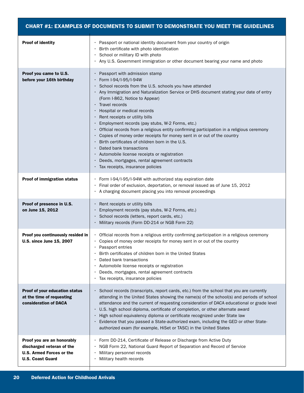# CHART #1: EXAMPLES OF DOCUMENTS TO SUBMIT TO DEMONSTRATE YOU MEET THE GUIDELINES

| <b>Proof of identity</b>                                                                                              | • Passport or national identity document from your country of origin<br>· Birth certificate with photo identification<br>· School or military ID with photo<br>• Any U.S. Government immigration or other document bearing your name and photo                                                                                                                                                                                                                                                                                                                                                                                                                                                                                                                                           |
|-----------------------------------------------------------------------------------------------------------------------|------------------------------------------------------------------------------------------------------------------------------------------------------------------------------------------------------------------------------------------------------------------------------------------------------------------------------------------------------------------------------------------------------------------------------------------------------------------------------------------------------------------------------------------------------------------------------------------------------------------------------------------------------------------------------------------------------------------------------------------------------------------------------------------|
| Proof you came to U.S.<br>before your 16th birthday                                                                   | Passport with admission stamp<br>Form I-94/I-95/I-94W<br>School records from the U.S. schools you have attended<br>· Any Immigration and Naturalization Service or DHS document stating your date of entry<br>(Form I-862, Notice to Appear)<br>· Travel records<br>Hospital or medical records<br>· Rent receipts or utility bills<br>Employment records (pay stubs, W-2 Forms, etc.)<br>• Official records from a religious entity confirming participation in a religious ceremony<br>• Copies of money order receipts for money sent in or out of the country<br>Birth certificates of children born in the U.S.<br>Dated bank transactions<br>· Automobile license receipts or registration<br>· Deeds, mortgages, rental agreement contracts<br>· Tax receipts, insurance policies |
| <b>Proof of immigration status</b>                                                                                    | • Form I-94/I-95/I-94W with authorized stay expiration date<br>Final order of exclusion, deportation, or removal issued as of June 15, 2012<br>• A charging document placing you into removal proceedings                                                                                                                                                                                                                                                                                                                                                                                                                                                                                                                                                                                |
| Proof of presence in U.S.<br>on June 15, 2012                                                                         | $\cdot$ Rent receipts or utility bills<br>Employment records (pay stubs, W-2 Forms, etc.)<br>School records (letters, report cards, etc.)<br>Military records (Form DD-214 or NGB Form 22)                                                                                                                                                                                                                                                                                                                                                                                                                                                                                                                                                                                               |
| Proof you continuously resided in<br><b>U.S. since June 15, 2007</b>                                                  | • Official records from a religious entity confirming participation in a religious ceremony<br>Copies of money order receipts for money sent in or out of the country<br>Passport entries<br>Birth certificates of children born in the United States<br>Dated bank transactions<br>· Automobile license receipts or registration<br>Deeds, mortgages, rental agreement contracts<br>$\cdot$ Tax receipts, insurance policies                                                                                                                                                                                                                                                                                                                                                            |
| <b>Proof of your education status</b><br>at the time of requesting<br>consideration of DACA                           | • School records (transcripts, report cards, etc.) from the school that you are currently<br>attending in the United States showing the name(s) of the school(s) and periods of school<br>attendance and the current of requesting consideration of DACA educational or grade level<br>U.S. high school diploma, certificate of completion, or other alternate award<br>High school equivalency diploma or certificate recognized under State law<br>Evidence that you passed a State-authorized exam, including the GED or other State-<br>authorized exam (for example, HiSet or TASC) in the United States                                                                                                                                                                            |
| Proof you are an honorably<br>discharged veteran of the<br><b>U.S. Armed Forces or the</b><br><b>U.S. Coast Guard</b> | Form DD-214, Certificate of Release or Discharge from Active Duty<br>NGB Form 22, National Guard Report of Separation and Record of Service<br>Military personnel records<br>Military health records                                                                                                                                                                                                                                                                                                                                                                                                                                                                                                                                                                                     |

┱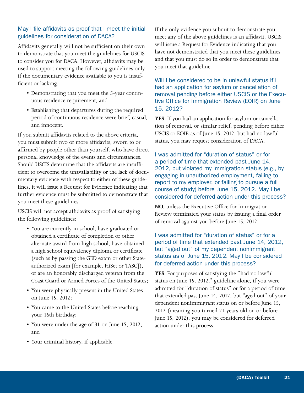# May I file affidavits as proof that I meet the initial guidelines for consideration of DACA?

Affidavits generally will not be sufficient on their own to demonstrate that you meet the guidelines for USCIS to consider you for DACA. However, affidavits may be used to support meeting the following guidelines only if the documentary evidence available to you is insufficient or lacking:

- Demonstrating that you meet the 5-year continuous residence requirement; and
- Establishing that departures during the required period of continuous residence were brief, casual, and innocent.

If you submit affidavits related to the above criteria, you must submit two or more affidavits, sworn to or affirmed by people other than yourself, who have direct personal knowledge of the events and circumstances. Should USCIS determine that the affidavits are insufficient to overcome the unavailability or the lack of documentary evidence with respect to either of these guidelines, it will issue a Request for Evidence indicating that further evidence must be submitted to demonstrate that you meet these guidelines.

USCIS will not accept affidavits as proof of satisfying the following guidelines:

- You are currently in school, have graduated or obtained a certificate of completion or other alternate award from high school, have obtained a high school equivalency diploma or certificate (such as by passing the GED exam or other Stateauthorized exam [for example, HiSet or TASC]), or are an honorably discharged veteran from the Coast Guard or Armed Forces of the United States;
- You were physically present in the United States on June 15, 2012;
- You came to the United States before reaching your 16th birthday;
- You were under the age of 31 on June 15, 2012; and
- Your criminal history, if applicable.

If the only evidence you submit to demonstrate you meet any of the above guidelines is an affidavit, USCIS will issue a Request for Evidence indicating that you have not demonstrated that you meet these guidelines and that you must do so in order to demonstrate that you meet that guideline.

Will I be considered to be in unlawful status if I had an application for asylum or cancellation of removal pending before either USCIS or the Executive Office for Immigration Review (EOIR) on June 15, 2012?

**YES**. If you had an application for asylum or cancellation of removal, or similar relief, pending before either USCIS or EOIR as of June 15, 2012, but had no lawful status, you may request consideration of DACA.

I was admitted for "duration of status" or for a period of time that extended past June 14, 2012, but violated my immigration status (e.g., by engaging in unauthorized employment, failing to report to my employer, or failing to pursue a full course of study) before June 15, 2012. May I be considered for deferred action under this process?

**NO**, unless the Executive Office for Immigration Review terminated your status by issuing a final order of removal against you before June 15, 2012.

I was admitted for "duration of status" or for a period of time that extended past June 14, 2012, but "aged out" of my dependent nonimmigrant status as of June 15, 2012. May I be considered for deferred action under this process?

**YES**. For purposes of satisfying the "had no lawful status on June 15, 2012," guideline alone, if you were admitted for "duration of status" or for a period of time that extended past June 14, 2012, but "aged out" of your dependent nonimmigrant status on or before June 15, 2012 (meaning you turned 21 years old on or before June 15, 2012), you may be considered for deferred action under this process.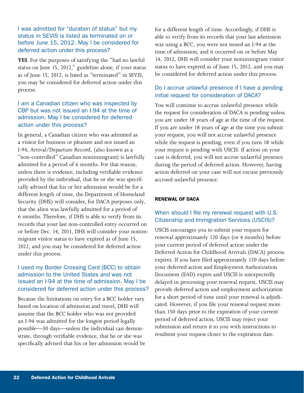### <span id="page-21-0"></span>I was admitted for "duration of status" but my status in SEVIS is listed as terminated on or before June 15, 2012. May I be considered for deferred action under this process?

**YES**. For the purposes of satisfying the "had no lawful status on June 15, 2012," guideline alone, if your status as of June 15, 2012, is listed as "terminated" in SEVIS, you may be considered for deferred action under this process.

# I am a Canadian citizen who was inspected by CBP but was not issued an I-94 at the time of admission. May I be considered for deferred action under this process?

In general, a Canadian citizen who was admitted as a visitor for business or pleasure and not issued an I-94, Arrival/Departure Record, (also known as a "non-controlled" Canadian nonimmigrant) is lawfully admitted for a period of 6 months. For that reason, unless there is evidence, including verifiable evidence provided by the individual, that he or she was specifically advised that his or her admission would be for a different length of time, the Department of Homeland Security (DHS) will consider, for DACA purposes only, that the alien was lawfully admitted for a period of 6 months. Therefore, if DHS is able to verify from its records that your last non-controlled entry occurred on or before Dec. 14, 2011, DHS will consider your nonimmigrant visitor status to have expired as of June 15, 2012, and you may be considered for deferred action under this process.

# I used my Border Crossing Card (BCC) to obtain admission to the United States and was not issued an I-94 at the time of admission. May I be considered for deferred action under this process?

Because the limitations on entry for a BCC holder vary based on location of admission and travel, DHS will assume that the BCC holder who was not provided an I-94 was admitted for the longest period legally possible—30 days—unless the individual can demonstrate, through verifiable evidence, that he or she was specifically advised that his or her admission would be for a different length of time. Accordingly, if DHS is able to verify from its records that your last admission was using a BCC, you were not issued an I-94 at the time of admission, and it occurred on or before May 14, 2012, DHS will consider your nonimmigrant visitor status to have expired as of June 15, 2012, and you may be considered for deferred action under this process.

# Do I accrue unlawful presence if I have a pending initial request for consideration of DACA?

You will continue to accrue unlawful presence while the request for consideration of DACA is pending unless you are under 18 years of age at the time of the request. If you are under 18 years of age at the time you submit your request, you will not accrue unlawful presence while the request is pending, even if you turn 18 while your request is pending with USCIS. If action on your case is deferred, you will not accrue unlawful presence during the period of deferred action. However, having action deferred on your case will not excuse previously accrued unlawful presence.

#### RENEWAL OF DACA

# When should I file my renewal request with U.S. Citizenship and Immigration Services (USCIS)?

USCIS encourages you to submit your request for renewal approximately 120 days (or 4 months) before your current period of deferred action under the Deferred Action for Childhood Arrivals (DACA) process expires. If you have filed approximately 120 days before your deferred action and Employment Authorization Document (EAD) expire and USCIS is unexpectedly delayed in processing your renewal request, USCIS may provide deferred action and employment authorization for a short period of time until your renewal is adjudicated. However, if you file your renewal request more than 150 days prior to the expiration of your current period of deferred action, USCIS may reject your submission and return it to you with instructions to resubmit your request closer to the expiration date.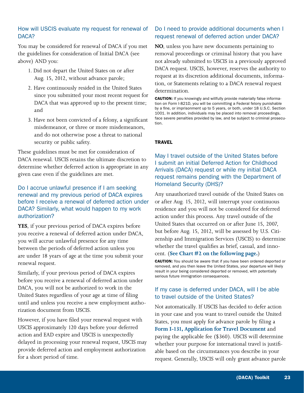### <span id="page-22-0"></span>How will USCIS evaluate my request for renewal of DACA?

You may be considered for renewal of DACA if you met the guidelines for consideration of Initial DACA (see above) AND you:

- 1. Did not depart the United States on or after Aug. 15, 2012, without advance parole;
- 2. Have continuously resided in the United States since you submitted your most recent request for DACA that was approved up to the present time; and
- 3. Have not been convicted of a felony, a significant misdemeanor, or three or more misdemeanors, and do not otherwise pose a threat to national security or public safety.

These guidelines must be met for consideration of DACA renewal. USCIS retains the ultimate discretion to determine whether deferred action is appropriate in any given case even if the guidelines are met.

# Do I accrue unlawful presence if I am seeking renewal and my previous period of DACA expires before I receive a renewal of deferred action under DACA? Similarly, what would happen to my work authorization?

**YES**, if your previous period of DACA expires before you receive a renewal of deferred action under DACA, you will accrue unlawful presence for any time between the periods of deferred action unless you are under 18 years of age at the time you submit your renewal request.

Similarly, if your previous period of DACA expires before you receive a renewal of deferred action under DACA, you will not be authorized to work in the United States regardless of your age at time of filing until and unless you receive a new employment authorization document from USCIS.

However, if you have filed your renewal request with USCIS approximately 120 days before your deferred action and EAD expire and USCIS is unexpectedly delayed in processing your renewal request, USCIS may provide deferred action and employment authorization for a short period of time.

# Do I need to provide additional documents when I request renewal of deferred action under DACA?

**NO**, unless you have new documents pertaining to removal proceedings or criminal history that you have not already submitted to USCIS in a previously approved DACA request. USCIS, however, reserves the authority to request at its discretion additional documents, information, or Statements relating to a DACA renewal request determination.

**CAUTION:** If you knowingly and willfully provide materially false information on Form I-821D, you will be committing a Federal felony punishable by a fine, or imprisonment up to 5 years, or both, under 18 U.S.C. Section 1001. In addition, individuals may be placed into removal proceedings, face severe penalties provided by law, and be subject to criminal prosecution.

#### **TRAVEL**

May I travel outside of the United States before I submit an initial Deferred Action for Childhood Arrivals (DACA) request or while my initial DACA request remains pending with the Department of Homeland Security (DHS)?

Any unauthorized travel outside of the United States on or after Aug. 15, 2012, will interrupt your continuous residence and you will not be considered for deferred action under this process. Any travel outside of the United States that occurred on or after June 15, 2007, but before Aug. 15, 2012, will be assessed by U.S. Citizenship and Immigration Services (USCIS) to determine whether the travel qualifies as brief, casual, and innocent. (**[See Chart #2](#page-23-0) on the following page.**)

CAUTION: You should be aware that if you have been ordered deported or removed, and you then leave the United States, your departure will likely result in your being considered deported or removed, with potentially serious future immigration consequences.

# If my case is deferred under DACA, will I be able to travel outside of the United States?

Not automatically. If USCIS has decided to defer action in your case and you want to travel outside the United States, you must apply for advance parole by filing a **[Form I-131, Application for Travel](http://www.uscis.gov/sites/default/files/files/form/i-131.pdf) Document** and paying the applicable fee (\$360). USCIS will determine whether your purpose for international travel is justifiable based on the circumstances you describe in your request. Generally, USCIS will only grant advance parole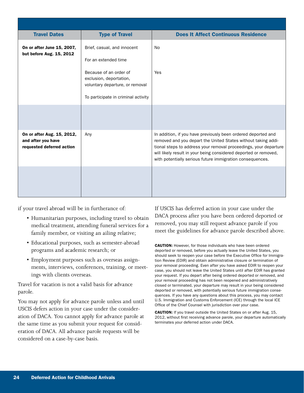<span id="page-23-0"></span>

| <b>Travel Dates</b>                                                           | <b>Type of Travel</b>                                                                | <b>Does It Affect Continuous Residence</b>                                                                                                                                                                                                                                                                                          |
|-------------------------------------------------------------------------------|--------------------------------------------------------------------------------------|-------------------------------------------------------------------------------------------------------------------------------------------------------------------------------------------------------------------------------------------------------------------------------------------------------------------------------------|
| On or after June 15, 2007,<br>but before Aug. 15, 2012                        | Brief, casual, and innocent                                                          | <b>No</b>                                                                                                                                                                                                                                                                                                                           |
|                                                                               | For an extended time                                                                 |                                                                                                                                                                                                                                                                                                                                     |
|                                                                               | Because of an order of<br>exclusion, deportation,<br>voluntary departure, or removal | Yes                                                                                                                                                                                                                                                                                                                                 |
|                                                                               | To participate in criminal activity                                                  |                                                                                                                                                                                                                                                                                                                                     |
|                                                                               |                                                                                      |                                                                                                                                                                                                                                                                                                                                     |
| On or after Aug. 15, 2012,<br>and after you have<br>requested deferred action | Any                                                                                  | In addition, if you have previously been ordered deported and<br>removed and you depart the United States without taking addi-<br>tional steps to address your removal proceedings, your departure<br>will likely result in your being considered deported or removed,<br>with potentially serious future immigration consequences. |
|                                                                               |                                                                                      |                                                                                                                                                                                                                                                                                                                                     |

if your travel abroad will be in furtherance of:

- Humanitarian purposes, including travel to obtain medical treatment, attending funeral services for a family member, or visiting an ailing relative;
- Educational purposes, such as semester-abroad programs and academic research; or
- Employment purposes such as overseas assignments, interviews, conferences, training, or meetings with clients overseas.

Travel for vacation is not a valid basis for advance parole.

You may not apply for advance parole unless and until USCIS defers action in your case under the consideration of DACA. You cannot apply for advance parole at the same time as you submit your request for consideration of DACA. All advance parole requests will be considered on a case-by-case basis.

If USCIS has deferred action in your case under the DACA process after you have been ordered deported or removed, you may still request advance parole if you meet the guidelines for advance parole described above.

CAUTION: However, for those individuals who have been ordered deported or removed, before you actually leave the United States, you should seek to reopen your case before the Executive Office for Immigration Review (EOIR) and obtain administrative closure or termination of your removal proceeding. Even after you have asked EOIR to reopen your case, you should not leave the United States until after EOIR has granted your request. If you depart after being ordered deported or removed, and your removal proceeding has not been reopened and administratively closed or terminated, your departure may result in your being considered deported or removed, with potentially serious future immigration consequences. If you have any questions about this process, you may contact U.S. Immigration and Customs Enforcement (ICE) through the local ICE Office of the Chief Counsel with jurisdiction over your case.

CAUTION: If you travel outside the United States on or after Aug. 15, 2012, without first receiving advance parole, your departure automatically terminates your deferred action under DACA.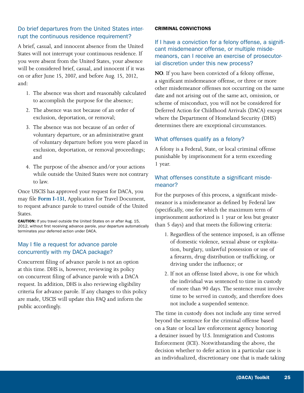# <span id="page-24-0"></span>Do brief departures from the United States interrupt the continuous residence requirement?

A brief, casual, and innocent absence from the United States will not interrupt your continuous residence. If you were absent from the United States, your absence will be considered brief, casual, and innocent if it was on or after June 15, 2007, and before Aug. 15, 2012, and:

- 1. The absence was short and reasonably calculated to accomplish the purpose for the absence;
- 2. The absence was not because of an order of exclusion, deportation, or removal;
- 3. The absence was not because of an order of voluntary departure, or an administrative grant of voluntary departure before you were placed in exclusion, deportation, or removal proceedings; and
- 4. The purpose of the absence and/or your actions while outside the United States were not contrary to law.

Once USCIS has approved your request for DACA, you may file **Form I-131**, Application for Travel Document, to request advance parole to travel outside of the United States.

CAUTION: If you travel outside the United States on or after Aug. 15, 2012, without first receiving advance parole, your departure automatically terminates your deferred action under DACA.

# May I file a request for advance parole concurrently with my DACA package?

Concurrent filing of advance parole is not an option at this time. DHS is, however, reviewing its policy on concurrent filing of advance parole with a DACA request. In addition, DHS is also reviewing eligibility criteria for advance parole. If any changes to this policy are made, USCIS will update this FAQ and inform the public accordingly.

#### CRIMINAL CONVICTIONS

If I have a conviction for a felony offense, a significant misdemeanor offense, or multiple misdemeanors, can I receive an exercise of prosecutorial discretion under this new process?

**NO**. If you have been convicted of a felony offense, a significant misdemeanor offense, or three or more other misdemeanor offenses not occurring on the same date and not arising out of the same act, omission, or scheme of misconduct, you will not be considered for Deferred Action for Childhood Arrivals (DACA) except where the Department of Homeland Security (DHS) determines there are exceptional circumstances.

#### What offenses qualify as a felony?

A felony is a Federal, State, or local criminal offense punishable by imprisonment for a term exceeding 1 year.

# What offenses constitute a significant misdemeanor?

For the purposes of this process, a significant misdemeanor is a misdemeanor as defined by Federal law (specifically, one for which the maximum term of imprisonment authorized is 1 year or less but greater than 5 days) and that meets the following criteria:

- 1. Regardless of the sentence imposed, is an offense of domestic violence, sexual abuse or exploitation, burglary, unlawful possession or use of a firearm, drug distribution or trafficking, or driving under the influence; or
- 2. If not an offense listed above, is one for which the individual was sentenced to time in custody of more than 90 days. The sentence must involve time to be served in custody, and therefore does not include a suspended sentence.

The time in custody does not include any time served beyond the sentence for the criminal offense based on a State or local law enforcement agency honoring a detainer issued by U.S. Immigration and Customs Enforcement (ICE). Notwithstanding the above, the decision whether to defer action in a particular case is an individualized, discretionary one that is made taking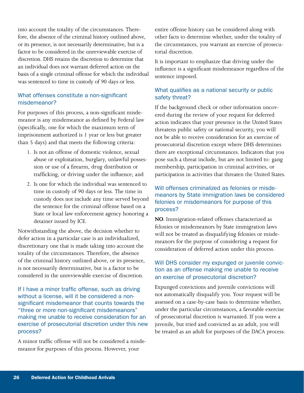into account the totality of the circumstances. Therefore, the absence of the criminal history outlined above, or its presence, is not necessarily determinative, but is a factor to be considered in the unreviewable exercise of discretion. DHS retains the discretion to determine that an individual does not warrant deferred action on the basis of a single criminal offense for which the individual was sentenced to time in custody of 90 days or less.

# What offenses constitute a non-significant misdemeanor?

For purposes of this process, a non-significant misdemeanor is any misdemeanor as defined by Federal law (specifically, one for which the maximum term of imprisonment authorized is 1 year or less but greater than 5 days) and that meets the following criteria:

- 1. Is not an offense of domestic violence, sexual abuse or exploitation, burglary, unlawful possession or use of a firearm, drug distribution or trafficking, or driving under the influence; and
- 2. Is one for which the individual was sentenced to time in custody of 90 days or less. The time in custody does not include any time served beyond the sentence for the criminal offense based on a State or local law enforcement agency honoring a detainer issued by ICE.

Notwithstanding the above, the decision whether to defer action in a particular case is an individualized, discretionary one that is made taking into account the totality of the circumstances. Therefore, the absence of the criminal history outlined above, or its presence, is not necessarily determinative, but is a factor to be considered in the unreviewable exercise of discretion.

If I have a minor traffic offense, such as driving without a license, will it be considered a nonsignificant misdemeanor that counts towards the "three or more non-significant misdemeanors" making me unable to receive consideration for an exercise of prosecutorial discretion under this new process?

A minor traffic offense will not be considered a misdemeanor for purposes of this process. However, your

entire offense history can be considered along with other facts to determine whether, under the totality of the circumstances, you warrant an exercise of prosecutorial discretion.

It is important to emphasize that driving under the influence is a significant misdemeanor regardless of the sentence imposed.

# What qualifies as a national security or public safety threat?

If the background check or other information uncovered during the review of your request for deferred action indicates that your presence in the United States threatens public safety or national security, you will not be able to receive consideration for an exercise of prosecutorial discretion except where DHS determines there are exceptional circumstances. Indicators that you pose such a threat include, but are not limited to: gang membership, participation in criminal activities, or participation in activities that threaten the United States.

# Will offenses criminalized as felonies or misdemeanors by State immigration laws be considered felonies or misdemeanors for purpose of this process?

**NO**. Immigration-related offenses characterized as felonies or misdemeanors by State immigration laws will not be treated as disqualifying felonies or misdemeanors for the purpose of considering a request for consideration of deferred action under this process.

# Will DHS consider my expunged or juvenile conviction as an offense making me unable to receive an exercise of prosecutorial discretion?

Expunged convictions and juvenile convictions will not automatically disqualify you. Your request will be assessed on a case-by-case basis to determine whether, under the particular circumstances, a favorable exercise of prosecutorial discretion is warranted. If you were a juvenile, but tried and convicted as an adult, you will be treated as an adult for purposes of the DACA process.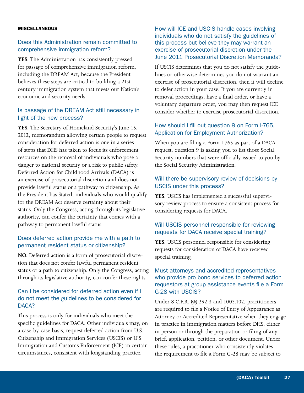#### <span id="page-26-0"></span>MISCELLANEOUS

### Does this Administration remain committed to comprehensive immigration reform?

**YES**. The Administration has consistently pressed for passage of comprehensive immigration reform, including the DREAM Act, because the President believes these steps are critical to building a 21st century immigration system that meets our Nation's economic and security needs.

#### Is passage of the DREAM Act still necessary in light of the new process?

**YES**. The Secretary of Homeland Security's June 15, 2012, memorandum allowing certain people to request consideration for deferred action is one in a series of steps that DHS has taken to focus its enforcement resources on the removal of individuals who pose a danger to national security or a risk to public safety. Deferred Action for Childhood Arrivals (DACA) is an exercise of prosecutorial discretion and does not provide lawful status or a pathway to citizenship. As the President has Stated, individuals who would qualify for the DREAM Act deserve certainty about their status. Only the Congress, acting through its legislative authority, can confer the certainty that comes with a pathway to permanent lawful status.

# Does deferred action provide me with a path to permanent resident status or citizenship?

**NO**. Deferred action is a form of prosecutorial discretion that does not confer lawful permanent resident status or a path to citizenship. Only the Congress, acting through its legislative authority, can confer these rights.

#### Can I be considered for deferred action even if I do not meet the guidelines to be considered for DACA?

This process is only for individuals who meet the specific guidelines for DACA. Other individuals may, on a case-by-case basis, request deferred action from U.S. Citizenship and Immigration Services (USCIS) or U.S. Immigration and Customs Enforcement (ICE) in certain circumstances, consistent with longstanding practice.

# How will ICE and USCIS handle cases involving individuals who do not satisfy the guidelines of this process but believe they may warrant an exercise of prosecutorial discretion under the June 2011 Prosecutorial Discretion Memoranda?

If USCIS determines that you do not satisfy the guidelines or otherwise determines you do not warrant an exercise of prosecutorial discretion, then it will decline to defer action in your case. If you are currently in removal proceedings, have a final order, or have a voluntary departure order, you may then request ICE consider whether to exercise prosecutorial discretion.

# How should I fill out question 9 on Form I-765, Application for Employment Authorization?

When you are filing a Form I-765 as part of a DACA request, question 9 is asking you to list those Social Security numbers that were officially issued to you by the Social Security Administration.

# Will there be supervisory review of decisions by USCIS under this process?

**YES**. USCIS has implemented a successful supervisory review process to ensure a consistent process for considering requests for DACA.

# Will USCIS personnel responsible for reviewing requests for DACA receive special training?

**YES**. USCIS personnel responsible for considering requests for consideration of DACA have received special training.

# Must attorneys and accredited representatives who provide pro bono services to deferred action requestors at group assistance events file a Form G-28 with USCIS?

Under 8 C.F.R. §§ 292.3 and 1003.102, practitioners are required to file a Notice of Entry of Appearance as Attorney or Accredited Representative when they engage in practice in immigration matters before DHS, either in person or through the preparation or filing of any brief, application, petition, or other document. Under these rules, a practitioner who consistently violates the requirement to file a Form G-28 may be subject to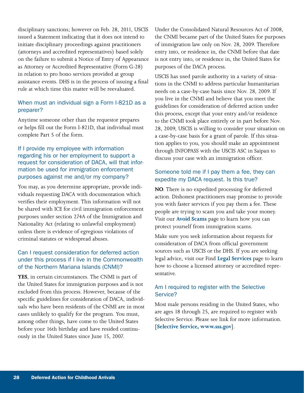disciplinary sanctions; however on Feb. 28, 2011, USCIS issued a Statement indicating that it does not intend to initiate disciplinary proceedings against practitioners (attorneys and accredited representatives) based solely on the failure to submit a Notice of Entry of Appearance as Attorney or Accredited Representative (Form G-28) in relation to pro bono services provided at group assistance events. DHS is in the process of issuing a final rule at which time this matter will be reevaluated.

# When must an individual sign a Form I-821D as a preparer?

Anytime someone other than the requestor prepares or helps fill out the Form I-821D, that individual must complete Part 5 of the form.

# If I provide my employee with information regarding his or her employment to support a request for consideration of DACA, will that information be used for immigration enforcement purposes against me and/or my company?

You may, as you determine appropriate, provide individuals requesting DACA with documentation which verifies their employment. This information will not be shared with ICE for civil immigration enforcement purposes under section 274A of the Immigration and Nationality Act (relating to unlawful employment) unless there is evidence of egregious violations of criminal statutes or widespread abuses.

# Can I request consideration for deferred action under this process if I live in the Commonwealth of the Northern Mariana Islands (CNMI)?

**YES**, in certain circumstances. The CNMI is part of the United States for immigration purposes and is not excluded from this process. However, because of the specific guidelines for consideration of DACA, individuals who have been residents of the CNMI are in most cases unlikely to qualify for the program. You must, among other things, have come to the United States before your 16th birthday and have resided continuously in the United States since June 15, 2007.

Under the Consolidated Natural Resources Act of 2008, the CNMI became part of the United States for purposes of immigration law only on Nov. 28, 2009. Therefore entry into, or residence in, the CNMI before that date is not entry into, or residence in, the United States for purposes of the DACA process.

USCIS has used parole authority in a variety of situations in the CNMI to address particular humanitarian needs on a case-by-case basis since Nov. 28, 2009. If you live in the CNMI and believe that you meet the guidelines for consideration of deferred action under this process, except that your entry and/or residence to the CNMI took place entirely or in part before Nov. 28, 2009, USCIS is willing to consider your situation on a case-by-case basis for a grant of parole. If this situation applies to you, you should make an appointment through INFOPASS with the USCIS ASC in Saipan to discuss your case with an immigration officer.

# Someone told me if I pay them a fee, they can expedite my DACA request. Is this true?

**NO**. There is no expedited processing for deferred action. Dishonest practitioners may promise to provide you with faster services if you pay them a fee. These people are trying to scam you and take your money. Visit our **[Avoid Scams](http://http://www.uscis.gov/avoid-scams)** page to learn how you can protect yourself from immigration scams.

Make sure you seek information about requests for consideration of DACA from official government sources such as USCIS or the DHS. If you are seeking legal advice, visit our Find **[Legal Services](http://www.uscis.gov/avoid-scams/find-legal-services)** page to learn how to choose a licensed attorney or accredited representative.

# Am I required to register with the Selective Service?

Most male persons residing in the United States, who are ages 18 through 25, are required to register with Selective Service. Please see link for more information. [**Selective Service, [www.sss.gov](http://www.sss.gov)**].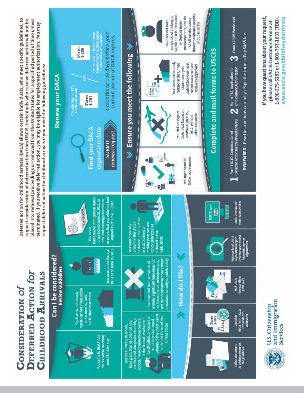# **DEFERRED ACTION for CHILDHOOD ARRIVALS CONSIDERATION OF**

Deferred action for childhood arrivals (DACA) allows certain individuals, who meet specific guidelines, to request consideration of deferred action from USCIS. Individuals who receive deferred action will not be placed into removal proceedings or removed from the United States for a specified period of time unless terminated. If you receive deferred action, you may be eligible for employment authorization. You may request deferred action for childhood arrivals if you meet the following guidelines:

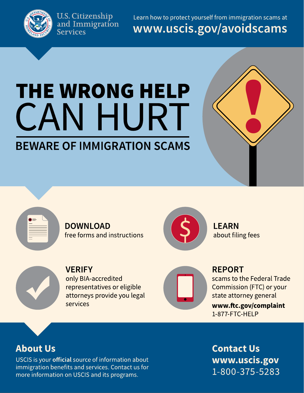<span id="page-29-0"></span>

**U.S. Citizenship** and Immigration<br>Services

Learn how to protect yourself from immigration scams at www.uscis.gov/avoidscams

# **THE WRONG HELP CAN HURT BEWARE OF IMMIGRATION SCAMS**



| $\bullet \equiv$ |  |
|------------------|--|
|                  |  |
|                  |  |
|                  |  |
|                  |  |

**DOWNLOAD** free forms and instructions



**LEARN** about filing fees



**VERIFY** 

only BIA-accredited representatives or eligible attorneys provide you legal services



**REPORT** scams to the Federal Trade **Commission (FTC) or your** state attorney general

www.ftc.gov/complaint 1-877-FTC-HELP

# **About Us**

USCIS is your official source of information about immigration benefits and services. Contact us for more information on USCIS and its programs.

**Contact Us** www.uscis.gov 1-800-375-5283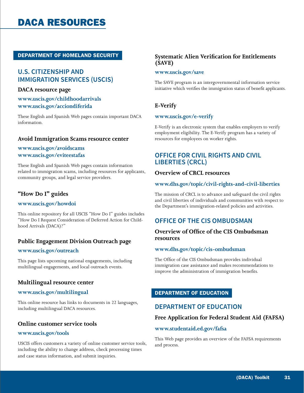# <span id="page-30-0"></span>DACA RESOURCES

#### DEPARTMENT OF HOMELAND SECURITY

# **U.S. CITIZENSHIP AND IMMIGRATION SERVICES (USCIS)**

#### **DACA resource page**

#### **<www.uscis.gov/childhoodarrivals> <www.uscis.gov/acciondiferida>**

These English and Spanish Web pages contain important DACA information.

#### **Avoid Immigration Scams resource center**

#### **<www.uscis.gov/avoidscams> <www.uscis.gov/eviteestafas>**

These English and Spanish Web pages contain information related to immigration scams, including resources for applicants, community groups, and legal service providers.

#### **"How Do I" guides**

#### **<www.uscis.gov/howdoi>**

This online repository for all USCIS "How Do I" guides includes "How Do I Request Consideration of Deferred Action for Childhood Arrivals (DACA)?"

#### **Public Engagement Division Outreach page**

#### **<www.uscis.gov/outreach>**

This page lists upcoming national engagements, including multilingual engagements, and local outreach events.

#### **Multilingual resource center**

#### **<www.uscis.gov/multilingual>**

This online resource has links to documents in 22 languages, including multilingual DACA resources.

#### **Online customer service tools**

#### **<www.uscis.gov/tools>**

USCIS offers customers a variety of online customer service tools, including the ability to change address, check processing times and case status information, and submit inquiries.

#### **Systematic Alien Verification for Entitlements (SAVE)**

#### **<www.uscis.gov/save>**

The SAVE program is an intergovernmental information service initiative which verifies the immigration status of benefit applicants.

# **E-Verify**

#### **<www.uscis.gov/e-verify>**

E-Verify is an electronic system that enables employers to verify employment eligibility. The E-Verify program has a variety of resources for employees on worker rights.

# **OFFICE FOR CIVIL RIGHTS AND CIVIL LIBERTIES (CRCL)**

#### **Overview of CRCL resources**

#### **[www.dhs.gov/topic/civil-rights-and-civil-liberties](http://www.dhs.gov/topic/civil-rights-and-civil-liberties)**

The mission of CRCL is to advance and safeguard the civil rights and civil liberties of individuals and communities with respect to the Department's immigration-related policies and activities.

# **OFFICE OF THE CIS OMBUDSMAN**

#### **Overview of Office of the CIS Ombudsman resources**

#### **[www.dhs.gov/topic/cis-ombudsman](http://www.dhs.gov/topic/cis-ombudsman)**

The Office of the CIS Ombudsman provides individual immigration case assistance and makes recommendations to improve the administration of immigration benefits.

#### DEPARTMENT OF EDUCATION

# **DEPARTMENT OF EDUCATION**

#### **Free Application for Federal Student Aid (FAFSA)**

#### **<www.studentaid.ed.gov/fafsa>**

This Web page provides an overview of the FAFSA requirements and process.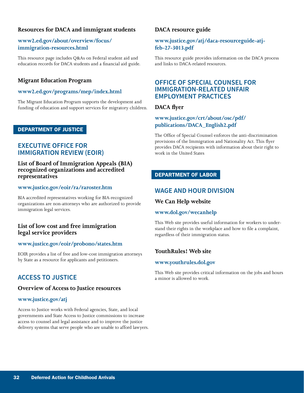# **Resources for DACA and immigrant students**

### **[www2.ed.gov/about/overview/focus/](www2.ed.gov/about/overview/focus/ immigration-resources.html) [immigration-resources.html](www2.ed.gov/about/overview/focus/ immigration-resources.html)**

This resource page includes Q&As on Federal student aid and education records for DACA students and a financial aid guide.

# **Migrant Education Program**

#### **<www2.ed.gov/programs/mep/index.html>**

The Migrant Education Program supports the development and funding of education and support services for migratory children.

#### DEPARTMENT OF JUSTICE

# **EXECUTIVE OFFICE FOR IMMIGRATION REVIEW (EOIR)**

#### **List of Board of Immigration Appeals (BIA) recognized organizations and accredited representatives**

#### **<www.justice.gov/eoir/ra/raroster.htm>**

BIA accredited representatives working for BIA-recognized organizations are non-attorneys who are authorized to provide immigration legal services.

#### **List of low cost and free immigration legal service providers**

#### **<www.justice.gov/eoir/probono/states.htm>**

EOIR provides a list of free and low-cost immigration attorneys by State as a resource for applicants and petitioners.

# **ACCESS TO JUSTICE**

#### **Overview of Access to Justice resources**

#### **<www.justice.gov/atj>**

Access to Justice works with Federal agencies, State, and local governments and State Access to Justice commissions to increase access to counsel and legal assistance and to improve the justice delivery systems that serve people who are unable to afford lawyers.

#### **DACA resource guide**

#### **[www.justice.gov/atj/daca-resourceguide-atj](www.justice.gov/atj/daca-resourceguide-atj-feb-27-3013.pdf)[feb-27-3013.pdf](www.justice.gov/atj/daca-resourceguide-atj-feb-27-3013.pdf)**

This resource guide provides information on the DACA process and links to DACA-related resources.

# **OFFICE OF SPECIAL COUNSEL FOR IMMIGRATION-RELATED UNFAIR EMPLOYMENT PRACTICES**

#### **DACA flyer**

#### **[www.justice.gov/crt/about/osc/pdf/](http://www.justice.gov/crt/about/osc/pdf/publications/DACA_English2.pdf) [publications/DACA\\_English2.pdf](http://www.justice.gov/crt/about/osc/pdf/publications/DACA_English2.pdf)**

The Office of Special Counsel enforces the anti-discrimination provisions of the Immigration and Nationality Act. This flyer provides DACA recipients with information about their right to work in the United States

#### DEPARTMENT OF LABOR

# **WAGE AND HOUR DIVISION**

#### **We Can Help website**

#### **<www.dol.gov/wecanhelp>**

This Web site provides useful information for workers to understand their rights in the workplace and how to file a complaint, regardless of their immigration status.

# **YouthRules! Web site**

#### **<www.youthrules.dol.gov>**

This Web site provides critical information on the jobs and hours a minor is allowed to work.